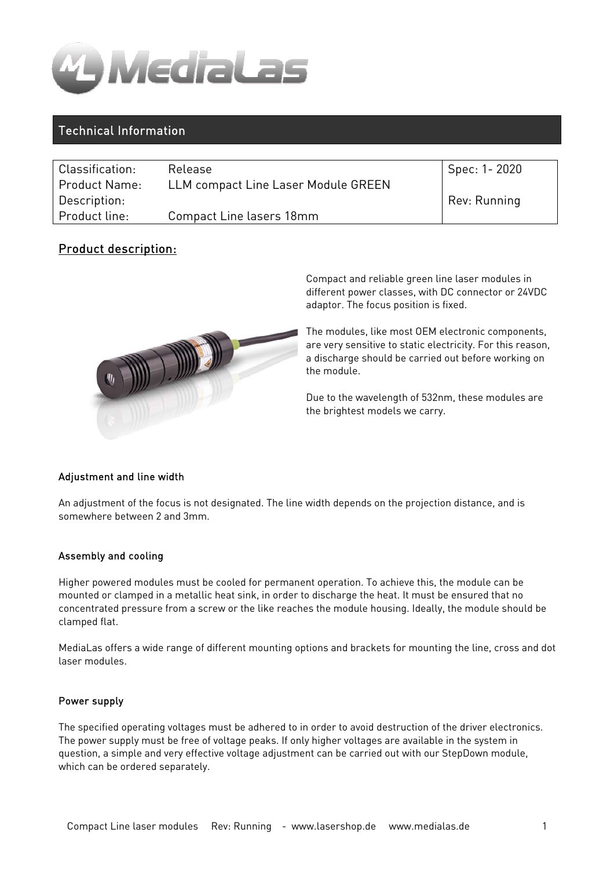

# Technical Information

| Classification:      | Release                             | Spec: 1- 2020 |
|----------------------|-------------------------------------|---------------|
| <b>Product Name:</b> | LLM compact Line Laser Module GREEN |               |
| Description:         |                                     | Rev: Running  |
| Product line:        | Compact Line lasers 18mm            |               |

## Product description:



Compact and reliable green line laser modules in different power classes, with DC connector or 24VDC adaptor. The focus position is fixed.

The modules, like most OEM electronic components, are very sensitive to static electricity. For this reason, a discharge should be carried out before working on the module.

Due to the wavelength of 532nm, these modules are the brightest models we carry.

## Adjustment and line width

An adjustment of the focus is not designated. The line width depends on the projection distance, and is somewhere between 2 and 3mm.

## Assembly and cooling

Higher powered modules must be cooled for permanent operation. To achieve this, the module can be mounted or clamped in a metallic heat sink, in order to discharge the heat. It must be ensured that no concentrated pressure from a screw or the like reaches the module housing. Ideally, the module should be clamped flat.

MediaLas offers a wide range of different mounting options and brackets for mounting the line, cross and dot laser modules.

#### Power supply

The specified operating voltages must be adhered to in order to avoid destruction of the driver electronics. The power supply must be free of voltage peaks. If only higher voltages are available in the system in question, a simple and very effective voltage adjustment can be carried out with our StepDown module, which can be ordered separately.